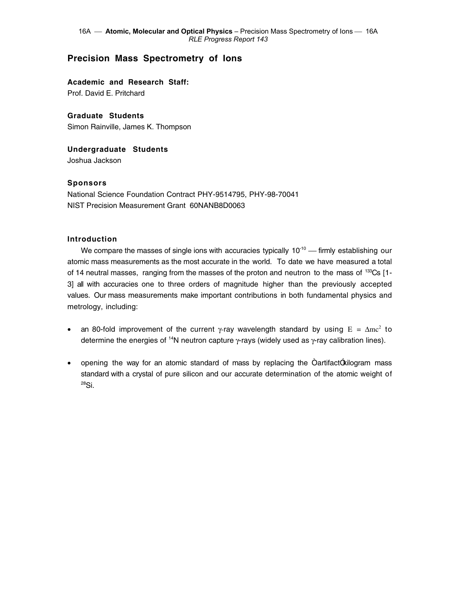# **Precision Mass Spectrometry of Ions**

**Academic and Research Staff:** Prof. David E. Pritchard

**Graduate Students** Simon Rainville, James K. Thompson

**Undergraduate Students** Joshua Jackson

# **Sponsors**

National Science Foundation Contract PHY-9514795, PHY-98-70041 NIST Precision Measurement Grant 60NANB8D0063

# **Introduction**

We compare the masses of single ions with accuracies typically  $10^{-10}$  - firmly establishing our atomic mass measurements as the most accurate in the world. To date we have measured a total of 14 neutral masses, ranging from the masses of the proton and neutron to the mass of <sup>133</sup>Cs [1-3] all with accuracies one to three orders of magnitude higher than the previously accepted values. Our mass measurements make important contributions in both fundamental physics and metrology, including:

- an 80-fold improvement of the current  $\gamma$ -ray wavelength standard by using  $E = \Delta mc^2$  to determine the energies of <sup>14</sup>N neutron capture  $\gamma$ -rays (widely used as  $\gamma$ -ray calibration lines).
- opening the way for an atomic standard of mass by replacing the  $\text{Oartifact}(x)$  mass standard with a crystal of pure silicon and our accurate determination of the atomic weight of 28Si.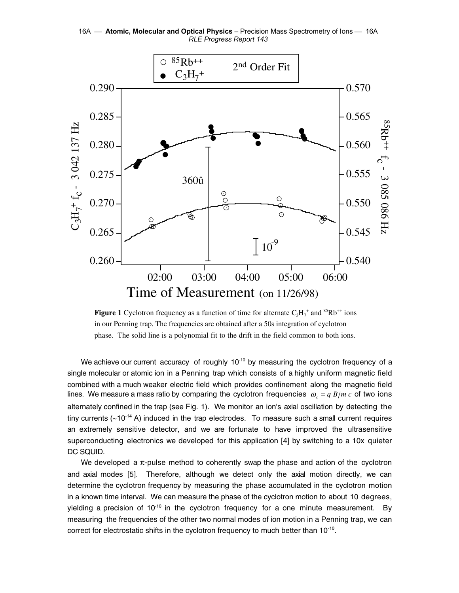16A **- Atomic, Molecular and Optical Physics** - Precision Mass Spectrometry of lons - 16A *RLE Progress Report 143* 



**Figure 1** Cyclotron frequency as a function of time for alternate  $C_3H_7^+$  and  ${}^{85}Rb^{++}$  ions in our Penning trap. The frequencies are obtained after a 50s integration of cyclotron phase. The solid line is a polynomial fit to the drift in the field common to both ions.

We achieve our current accuracy of roughly  $10^{-10}$  by measuring the cyclotron frequency of a single molecular or atomic ion in a Penning trap which consists of a highly uniform magnetic field combined with a much weaker electric field which provides confinement along the magnetic field lines. We measure a mass ratio by comparing the cyclotron frequencies  $\omega_c = q B/m c$  of two ions alternately confined in the trap (see Fig. 1). We monitor an ion's axial oscillation by detecting the tiny currents  $(-10^{-14} A)$  induced in the trap electrodes. To measure such a small current requires an extremely sensitive detector, and we are fortunate to have improved the ultrasensitive superconducting electronics we developed for this application [4] by switching to a 10x quieter DC SQUID.

We developed a π-pulse method to coherently swap the phase and action of the cyclotron and axial modes [5]. Therefore, although we detect only the axial motion directly, we can determine the cyclotron frequency by measuring the phase accumulated in the cyclotron motion in a known time interval. We can measure the phase of the cyclotron motion to about 10 degrees, yielding a precision of  $10^{-10}$  in the cyclotron frequency for a one minute measurement. By measuring the frequencies of the other two normal modes of ion motion in a Penning trap, we can correct for electrostatic shifts in the cyclotron frequency to much better than 10<sup>-10</sup>.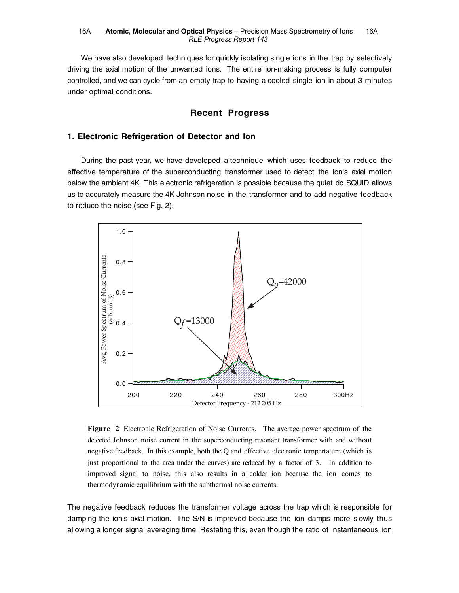We have also developed techniques for quickly isolating single ions in the trap by selectively driving the axial motion of the unwanted ions. The entire ion-making process is fully computer controlled, and we can cycle from an empty trap to having a cooled single ion in about 3 minutes under optimal conditions.

# **Recent Progress**

# **1. Electronic Refrigeration of Detector and Ion**

During the past year, we have developed a technique which uses feedback to reduce the effective temperature of the superconducting transformer used to detect the ion's axial motion below the ambient 4K. This electronic refrigeration is possible because the quiet dc SQUID allows us to accurately measure the 4K Johnson noise in the transformer and to add negative feedback to reduce the noise (see Fig. 2).



**Figure 2** Electronic Refrigeration of Noise Currents.The average power spectrum of the detected Johnson noise current in the superconducting resonant transformer with and without negative feedback. In this example, both the Q and effective electronic tempertature (which is just proportional to the area under the curves) are reduced by a factor of 3. In addition to improved signal to noise, this also results in a colder ion because the ion comes to thermodynamic equilibrium with the subthermal noise currents.

The negative feedback reduces the transformer voltage across the trap which is responsible for damping the ion's axial motion. The S/N is improved because the ion damps more slowly thus allowing a longer signal averaging time. Restating this, even though the ratio of instantaneous ion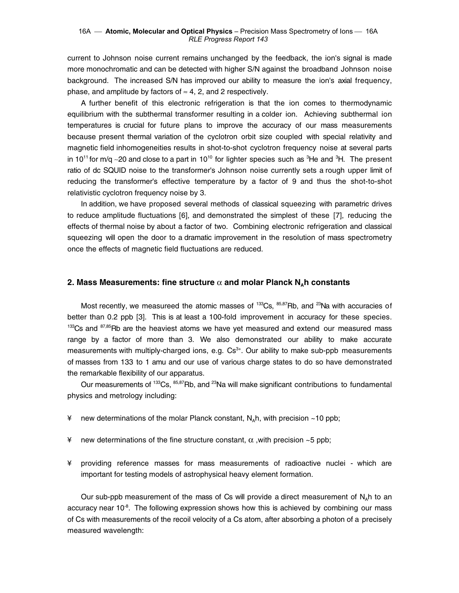#### 16A **- Atomic, Molecular and Optical Physics** - Precision Mass Spectrometry of lons - 16A *RLE Progress Report 143*

current to Johnson noise current remains unchanged by the feedback, the ion's signal is made more monochromatic and can be detected with higher S/N against the broadband Johnson noise background. The increased S/N has improved our ability to measure the ion's axial frequency, phase, and amplitude by factors of  $\approx$  4, 2, and 2 respectively.

A further benefit of this electronic refrigeration is that the ion comes to thermodynamic equilibrium with the subthermal transformer resulting in a colder ion. Achieving subthermal ion temperatures is crucial for future plans to improve the accuracy of our mass measurements because present thermal variation of the cyclotron orbit size coupled with special relativity and magnetic field inhomogeneities results in shot-to-shot cyclotron frequency noise at several parts in 10<sup>11</sup> for m/q ~20 and close to a part in 10<sup>10</sup> for lighter species such as <sup>3</sup>He and <sup>3</sup>H. The present ratio of dc SQUID noise to the transformer's Johnson noise currently sets a rough upper limit of reducing the transformer's effective temperature by a factor of 9 and thus the shot-to-shot relativistic cyclotron frequency noise by 3.

In addition, we have proposed several methods of classical squeezing with parametric drives to reduce amplitude fluctuations [6], and demonstrated the simplest of these [7], reducing the effects of thermal noise by about a factor of two. Combining electronic refrigeration and classical squeezing will open the door to a dramatic improvement in the resolution of mass spectrometry once the effects of magnetic field fluctuations are reduced.

### **2. Mass Measurements: fine structure**  $\alpha$  **and molar Planck N<sub>a</sub>h constants**

Most recently, we measureed the atomic masses of  $133Cs$ ,  $85,87Rb$ , and  $23Na$  with accuracies of better than 0.2 ppb [3]. This is at least a 100-fold improvement in accuracy for these species.  $133$ Cs and  $87,85$ Rb are the heaviest atoms we have yet measured and extend our measured mass range by a factor of more than 3. We also demonstrated our ability to make accurate measurements with multiply-charged ions, e.g.  $Cs^{3+}$ . Our ability to make sub-ppb measurements of masses from 133 to 1 amu and our use of various charge states to do so have demonstrated the remarkable flexibility of our apparatus.

Our measurements of  $133\text{Cs}$ ,  $85,87\text{Rb}$ , and  $23\text{Na}$  will make significant contributions to fundamental physics and metrology including:

- $\angle$  new determinations of the molar Planck constant, N<sub>a</sub>h, with precision ~10 ppb;
- ¥ new determinations of the fine structure constant,  $\alpha$ , with precision ~5 ppb;
- ¥ providing reference masses for mass measurements of radioactive nuclei which are important for testing models of astrophysical heavy element formation.

Our sub-ppb measurement of the mass of Cs will provide a direct measurement of  $N_a$ h to an accuracy near  $10^{-8}$ . The following expression shows how this is achieved by combining our mass of Cs with measurements of the recoil velocity of a Cs atom, after absorbing a photon of a precisely measured wavelength: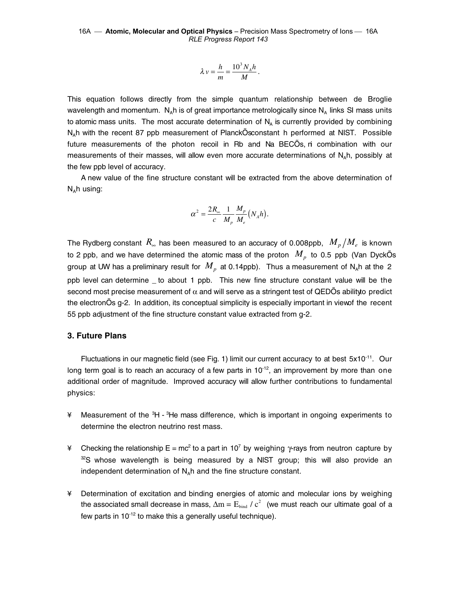$$
\lambda v = \frac{h}{m} = \frac{10^3 N_A h}{M}.
$$

This equation follows directly from the simple quantum relationship between de Broglie wavelength and momentum. N<sub>a</sub>h is of great importance metrologically since N<sub>a</sub> links SI mass units to atomic mass units. The most accurate determination of  $N<sub>A</sub>$  is currently provided by combining N<sub>a</sub>h with the recent 87 ppb measurement of PlanckÕs constant h performed at NIST. Possible future measurements of the photon recoil in Rb and Na BECÕs, ri combination with our measurements of their masses, will allow even more accurate determinations of  $N_A$ h, possibly at the few ppb level of accuracy.

A new value of the fine structure constant will be extracted from the above determination of  $N_A$ h using:

$$
\alpha^2 = \frac{2R_{\infty}}{c} \frac{1}{M_p} \frac{M_p}{M_e} (N_A h).
$$

The Rydberg constant  $R_{\infty}$  has been measured to an accuracy of 0.008ppb,  $M_{p}/M_{e}$  is known to 2 ppb, and we have determined the atomic mass of the proton  $\,M_{_{P}}\,$  to 0.5 ppb (Van DyckÕs group at UW has a preliminary result for  $M_p$  at 0.14ppb). Thus a measurement of N<sub>A</sub>h at the 2 ppb level can determine \_ to about 1 ppb. This new fine structure constant value will be the second most precise measurement of  $\alpha$  and will serve as a stringent test of QEDÕs ability to predict the electronÕs g-2. In addition, its conceptual simplicity is especially important in view of the recent 55 ppb adjustment of the fine structure constant value extracted from g-2.

# **3. Future Plans**

Fluctuations in our magnetic field (see Fig. 1) limit our current accuracy to at best  $5x10^{-11}$ . Our long term goal is to reach an accuracy of a few parts in  $10^{-12}$ , an improvement by more than one additional order of magnitude. Improved accuracy will allow further contributions to fundamental physics:

- ¥ Measurement of the <sup>3</sup>H <sup>3</sup>He mass difference, which is important in ongoing experiments to determine the electron neutrino rest mass.
- ¥ Checking the relationship E = mc<sup>2</sup> to a part in 10<sup>7</sup> by weighing γ-rays from neutron capture by  $\degree$ S whose wavelength is being measured by a NIST group; this will also provide an independent determination of  $N_A$ h and the fine structure constant.
- ¥ Determination of excitation and binding energies of atomic and molecular ions by weighing the associated small decrease in mass,  $\Delta m = E_{\text{bind}}$  /  $c^2$  (we must reach our ultimate goal of a few parts in  $10^{-12}$  to make this a generally useful technique).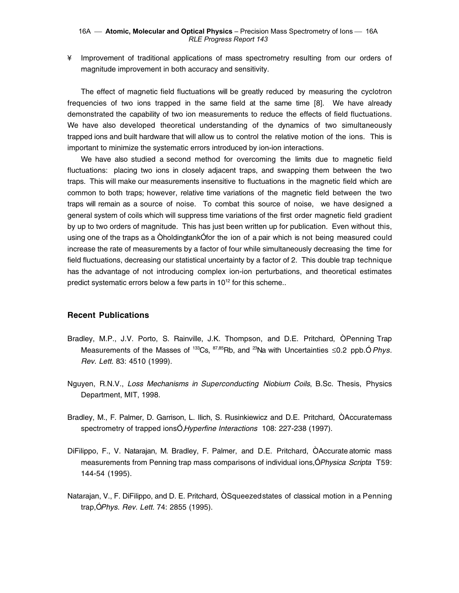¥ Improvement of traditional applications of mass spectrometry resulting from our orders of magnitude improvement in both accuracy and sensitivity.

The effect of magnetic field fluctuations will be greatly reduced by measuring the cyclotron frequencies of two ions trapped in the same field at the same time [8]. We have already demonstrated the capability of two ion measurements to reduce the effects of field fluctuations. We have also developed theoretical understanding of the dynamics of two simultaneously trapped ions and built hardware that will allow us to control the relative motion of the ions. This is important to minimize the systematic errors introduced by ion-ion interactions.

We have also studied a second method for overcoming the limits due to magnetic field fluctuations: placing two ions in closely adjacent traps, and swapping them between the two traps. This will make our measurements insensitive to fluctuations in the magnetic field which are common to both traps; however, relative time variations of the magnetic field between the two traps will remain as a source of noise. To combat this source of noise, we have designed a general system of coils which will suppress time variations of the first order magnetic field gradient by up to two orders of magnitude. This has just been written up for publication. Even without this, using one of the traps as a Oholding tank Ofor the ion of a pair which is not being measured could increase the rate of measurements by a factor of four while simultaneously decreasing the time for field fluctuations, decreasing our statistical uncertainty by a factor of 2. This double trap technique has the advantage of not introducing complex ion-ion perturbations, and theoretical estimates predict systematic errors below a few parts in  $10^{12}$  for this scheme..

### **Recent Publications**

- Bradley, M.P., J.V. Porto, S. Rainville, J.K. Thompson, and D.E. Pritchard, ÒPenning Trap Measurements of the Masses of  $^{133}Cs$ ,  $^{87,85}Rb$ , and  $^{23}Na$  with Uncertainties  $\leq 0.2$  ppb. O Phys. Rev. Lett. 83: 4510 (1999).
- Nguyen, R.N.V., Loss Mechanisms in Superconducting Niobium Coils, B.Sc. Thesis, Physics Department, MIT, 1998.
- Bradley, M., F. Palmer, D. Garrison, L. Ilich, S. Rusinkiewicz and D.E. Pritchard, ÒAccurate mass spectrometry of trapped ionsÓ, Hyperfine Interactions 108: 227-238 (1997).
- DiFilippo, F., V. Natarajan, M. Bradley, F. Palmer, and D.E. Pritchard, ÒAccurate atomic mass measurements from Penning trap mass comparisons of individual ions, Ó Physica Scripta T59: 144-54 (1995).
- Natarajan, V., F. DiFilippo, and D. E. Pritchard, ÒSqueezed states of classical motion in a Penning trap, Ó Phys. Rev. Lett. 74: 2855 (1995).